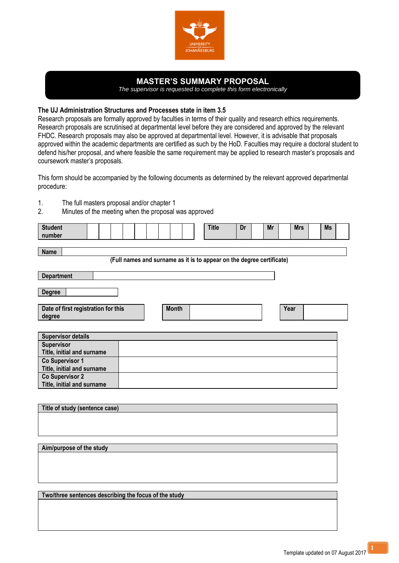

## **MASTER'S SUMMARY PROPOSAL**

*The supervisor is requested to complete this form electronically*

## **The UJ Administration Structures and Processes state in item 3.5**

Research proposals are formally approved by faculties in terms of their quality and research ethics requirements. Research proposals are scrutinised at departmental level before they are considered and approved by the relevant FHDC. Research proposals may also be approved at departmental level. However, it is advisable that proposals approved within the academic departments are certified as such by the HoD. Faculties may require a doctoral student to defend his/her proposal, and where feasible the same requirement may be applied to research master's proposals and coursework master's proposals.

This form should be accompanied by the following documents as determined by the relevant approved departmental procedure:

- 1. The full masters proposal and/or chapter 1<br>2. Minutes of the meeting when the proposal
- Minutes of the meeting when the proposal was approved

| <b>Student</b><br>number                                                             |  |  |  |              |  |  |  |  |      | <b>Title</b> | Dr | Mr | <b>Mrs</b> |  | <b>Ms</b> |  |
|--------------------------------------------------------------------------------------|--|--|--|--------------|--|--|--|--|------|--------------|----|----|------------|--|-----------|--|
| <b>Name</b><br>(Full names and surname as it is to appear on the degree certificate) |  |  |  |              |  |  |  |  |      |              |    |    |            |  |           |  |
| <b>Department</b>                                                                    |  |  |  |              |  |  |  |  |      |              |    |    |            |  |           |  |
| <b>Degree</b>                                                                        |  |  |  |              |  |  |  |  |      |              |    |    |            |  |           |  |
| Date of first registration for this<br>degree                                        |  |  |  | <b>Month</b> |  |  |  |  | Year |              |    |    |            |  |           |  |
| <b>Supervisor details</b>                                                            |  |  |  |              |  |  |  |  |      |              |    |    |            |  |           |  |
| <b>Supervisor</b><br>Title, initial and surname                                      |  |  |  |              |  |  |  |  |      |              |    |    |            |  |           |  |
| Co Supervisor 1<br>Title, initial and surname                                        |  |  |  |              |  |  |  |  |      |              |    |    |            |  |           |  |
| <b>Co Supervisor 2</b><br>Title, initial and surname                                 |  |  |  |              |  |  |  |  |      |              |    |    |            |  |           |  |
|                                                                                      |  |  |  |              |  |  |  |  |      |              |    |    |            |  |           |  |
| Title of study (sentence case)                                                       |  |  |  |              |  |  |  |  |      |              |    |    |            |  |           |  |

**Aim/purpose of the study**

**Two/three sentences describing the focus of the study**